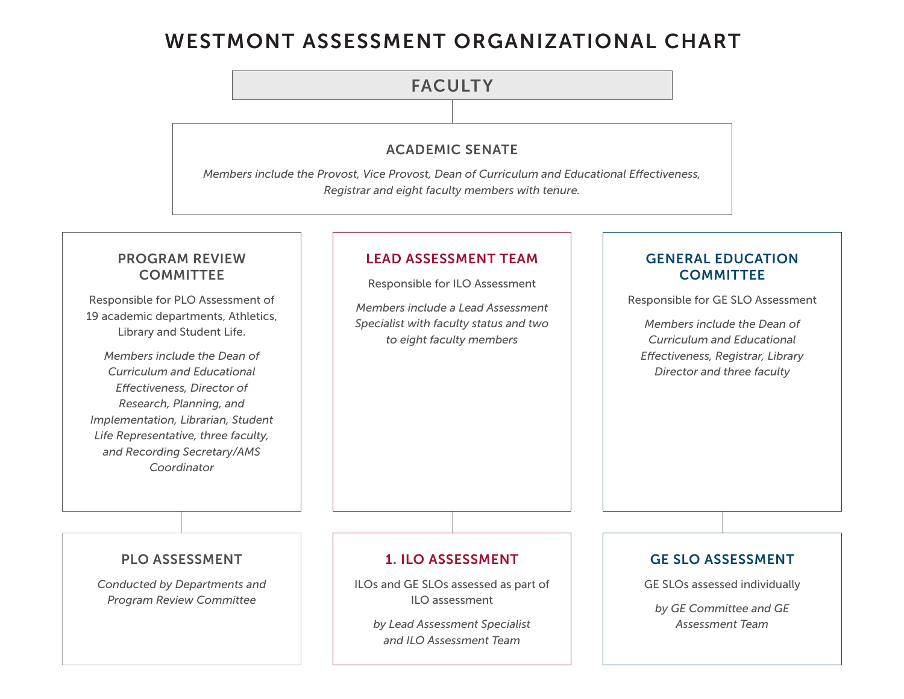## WESTMONT ASSESSMENT ORGANIZATIONAL CHART

### FACULTY

#### ACADEMIC SENATE

*Members include the Provost, Vice Provost, Dean of Curriculum and Educational Effectiveness, Registrar and eight faculty members with tenure.* 

#### PROGRAM REVIEW **COMMITTEE**

Responsible for PLO Assessment of 19 academic departments, Athletics, Library and Student Life.

*Members include the Dean of Curriculum and Educational Effectiveness, Director of Research, Planning, and Implementation, Librarian, Student Life Representative, three faculty, and Recording Secretary/AMS Coordinator*

#### LEAD ASSESSMENT TEAM

Responsible for ILO Assessment

*Members include a Lead Assessment Specialist with faculty status and two to eight faculty members*

#### GENERAL EDUCATION **COMMITTEE**

Responsible for GE SLO Assessment

*Members include the Dean of Curriculum and Educational Effectiveness, Registrar, Library Director and three faculty*

#### PLO ASSESSMENT

*Conducted by Departments and Program Review Committee*

#### 1. ILO ASSESSMENT

ILOs and GE SLOs assessed as part of ILO assessment

*by Lead Assessment Specialist and ILO Assessment Team* 

#### GE SLO ASSESSMENT

GE SLOs assessed individually

*by GE Committee and GE Assessment Team*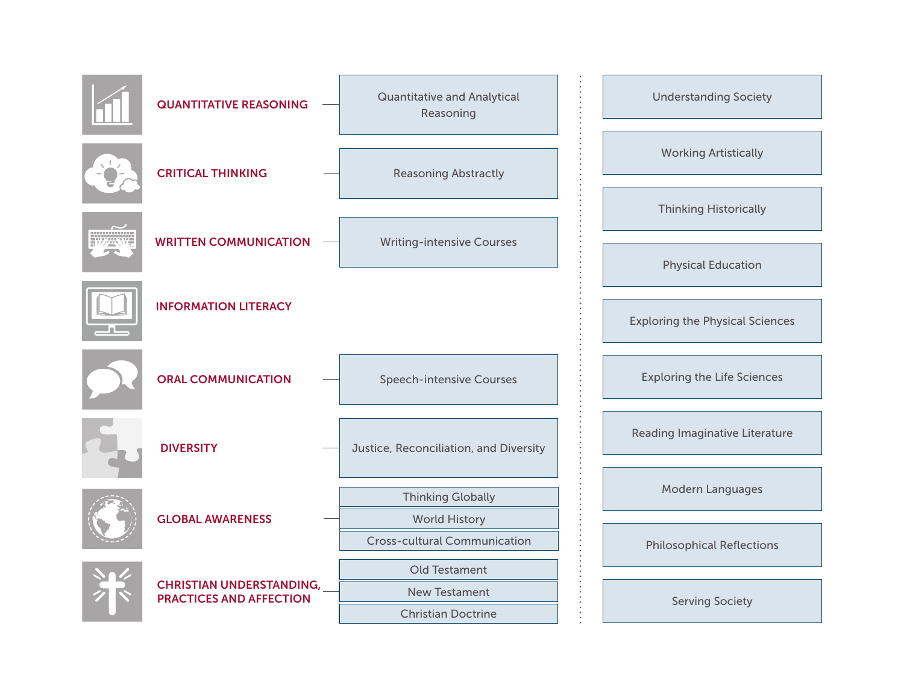